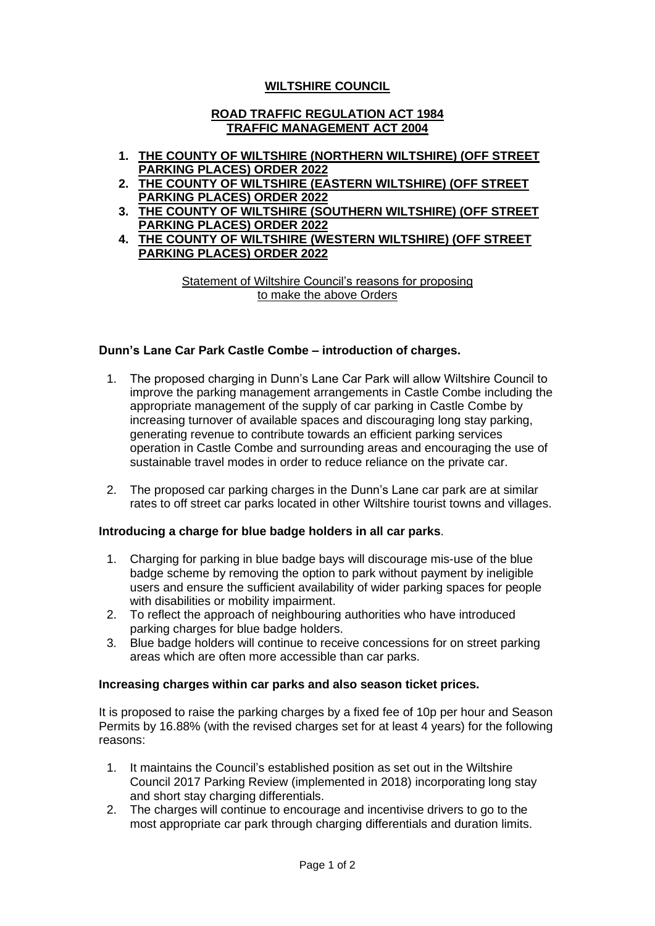# **WILTSHIRE COUNCIL**

### **ROAD TRAFFIC REGULATION ACT 1984 TRAFFIC MANAGEMENT ACT 2004**

- **1. THE COUNTY OF WILTSHIRE (NORTHERN WILTSHIRE) (OFF STREET PARKING PLACES) ORDER 2022**
- **2. THE COUNTY OF WILTSHIRE (EASTERN WILTSHIRE) (OFF STREET PARKING PLACES) ORDER 2022**
- **3. THE COUNTY OF WILTSHIRE (SOUTHERN WILTSHIRE) (OFF STREET PARKING PLACES) ORDER 2022**
- **4. THE COUNTY OF WILTSHIRE (WESTERN WILTSHIRE) (OFF STREET PARKING PLACES) ORDER 2022**

Statement of Wiltshire Council's reasons for proposing to make the above Orders

## **Dunn's Lane Car Park Castle Combe – introduction of charges.**

- 1. The proposed charging in Dunn's Lane Car Park will allow Wiltshire Council to improve the parking management arrangements in Castle Combe including the appropriate management of the supply of car parking in Castle Combe by increasing turnover of available spaces and discouraging long stay parking, generating revenue to contribute towards an efficient parking services operation in Castle Combe and surrounding areas and encouraging the use of sustainable travel modes in order to reduce reliance on the private car.
- 2. The proposed car parking charges in the Dunn's Lane car park are at similar rates to off street car parks located in other Wiltshire tourist towns and villages.

## **Introducing a charge for blue badge holders in all car parks**.

- 1. Charging for parking in blue badge bays will discourage mis-use of the blue badge scheme by removing the option to park without payment by ineligible users and ensure the sufficient availability of wider parking spaces for people with disabilities or mobility impairment.
- 2. To reflect the approach of neighbouring authorities who have introduced parking charges for blue badge holders.
- 3. Blue badge holders will continue to receive concessions for on street parking areas which are often more accessible than car parks.

## **Increasing charges within car parks and also season ticket prices.**

It is proposed to raise the parking charges by a fixed fee of 10p per hour and Season Permits by 16.88% (with the revised charges set for at least 4 years) for the following reasons:

- 1. It maintains the Council's established position as set out in the Wiltshire Council 2017 Parking Review (implemented in 2018) incorporating long stay and short stay charging differentials.
- 2. The charges will continue to encourage and incentivise drivers to go to the most appropriate car park through charging differentials and duration limits.